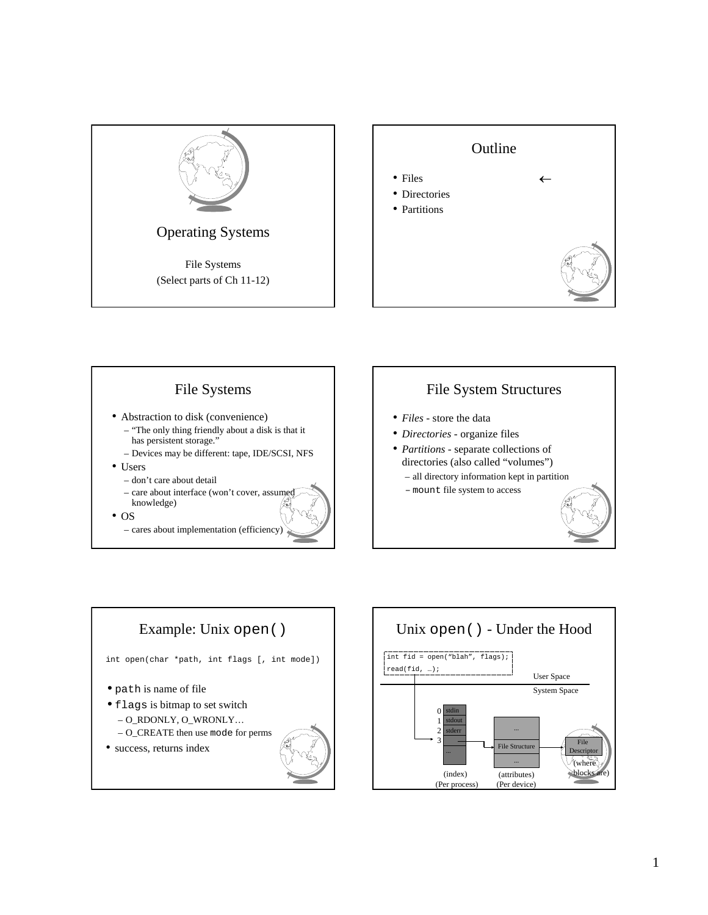







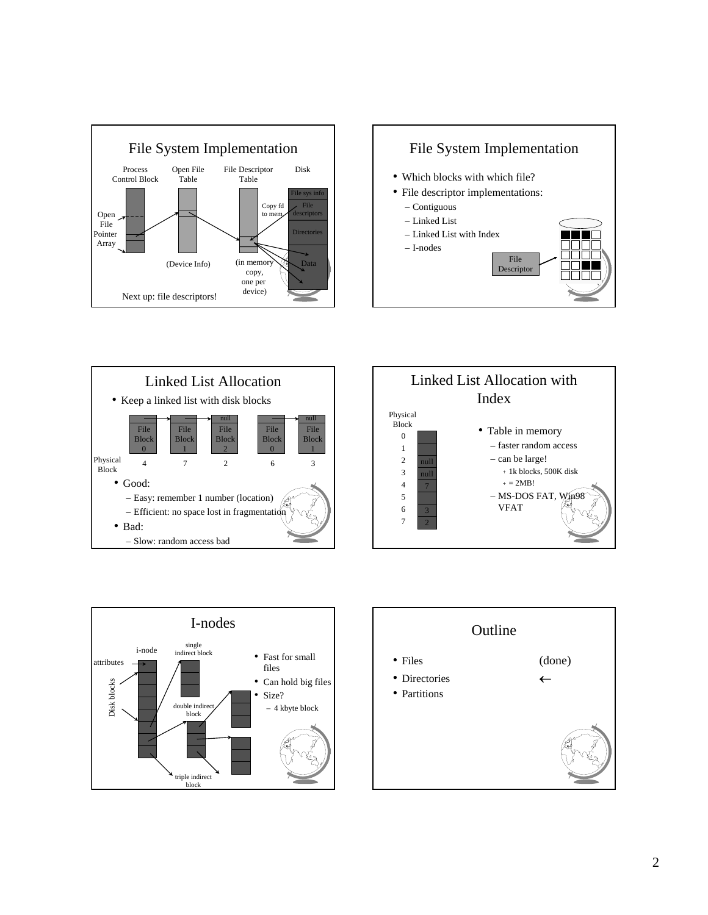









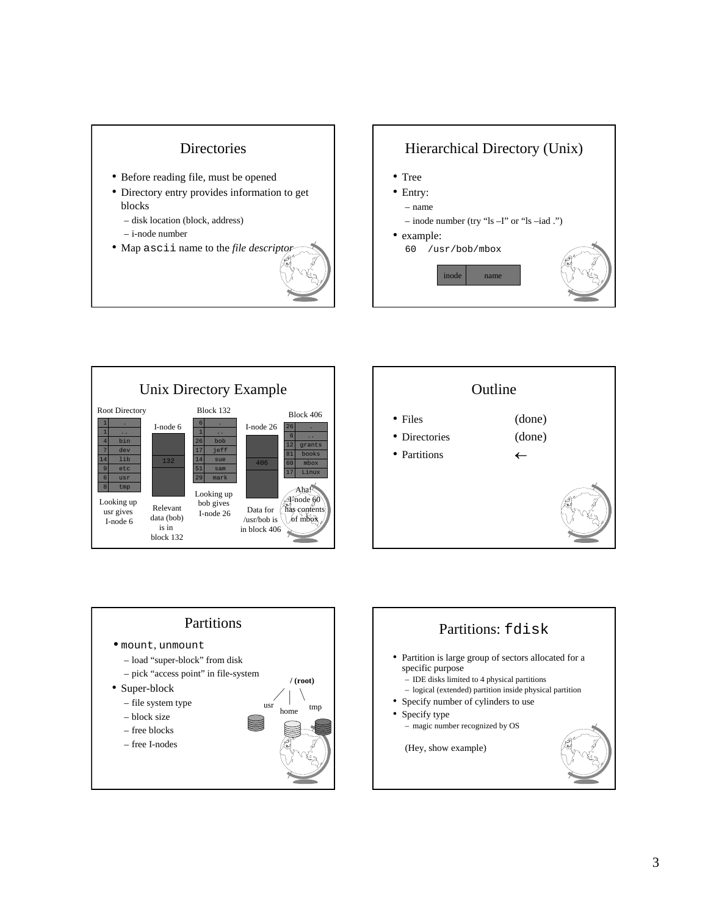